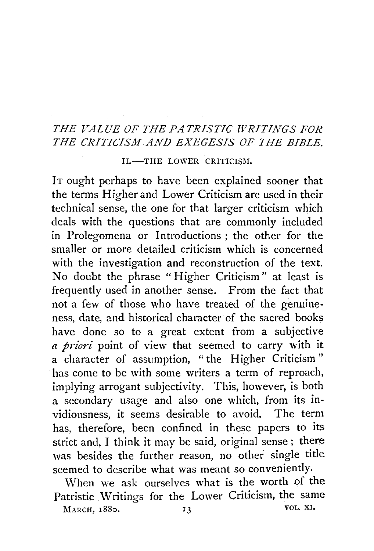## THE VALUE OF THE PATRISTIC WRITINGS FOR *THE CRITICISM. AND EXEGESIS OF THE BIBLE.*

II.-THE LOWER CRITICISM.

IT ought perhaps to have been explained sooner that the terms Higher and Lower Criticism are used in their technical sense, the one for that larger criticism which deals with the questions that are commonly included in Prolegomena or Introductions ; the other for the smaller or more detailed criticism which is concerned with the investigation and reconstruction of the text. No doubt the phrase " Higher Criticism" at least is frequently used in another sense. From the fact that not a few of those who have treated of the genuineness, date, and historical character of the sacred books have done so to a great extent from a subjective *a priori* point of view that seemed to carry with it a character of assumption, "the Higher Criticism'' has come to be with some writers a term of reproach, implying arrogant subjectivity. This, however, is both a secondary usage and also one which, from its invidiousness, it seems desirable to avoid. The term has, therefore, been confined in these papers to its strict and, I think it may be said, original sense ; there was besides the further reason, no other single title seemed to describe what was meant so conveniently.

When we ask ourselves what is the worth of the Patristic Writings for the Lower Criticism, the same MARCH, 1880. **13** VOL. XI.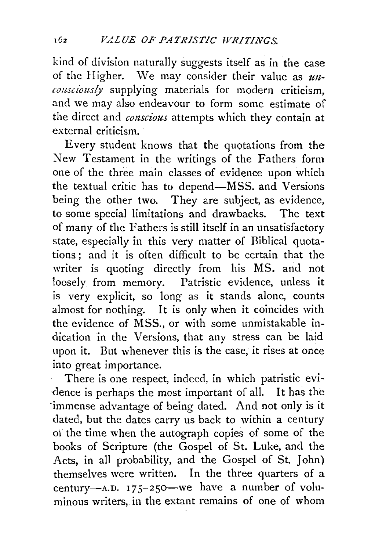kind of division naturally suggests itself as in the case of the Higher. We may consider their value as *unconsciously* supplying materials for modern criticism, and we may also endeavour to form some estimate of the direct and *conscious* attempts which they contain at external criticism.

Every student knows that the quotations from the New Testament in the writings of the Fathers form one of the three main classes of evidence upon which the textual critic has to depend-MSS. and Versions being the other two. They are subject, as evidence, to some special limitations and drawbacks. The text of many of the Fathers is still itself in an unsatisfactory state, especially in this very matter of Biblical quotations ; and it is often difficult to be certain that the writer is quoting directly from his MS. and not loosely from memory. Patristic evidence, unless it is very explicit, so long as it stands alone, counts almost for nothing. It is only when it coincides with the evidence of MSS., or with some unmistakable indication in the Versions, that any stress can be laid upon it. But whenever this is the case, it rises at once into great importance.

There is one respect, indeed, in which patristic evidence is perhaps the most important of all. It has the ·immense advantage of being dated. And not only is it dated, but the dates carry us back to within a century of the time when the autograph copies of some of the books of Scripture (the Gospel of St. Luke, and the Acts, in all probability, and the Gospel of St. John) themselves were written. In the three quarters of a century-A.D.  $175-250$ -we have a number of voluminous writers, in the extant remains of one of whom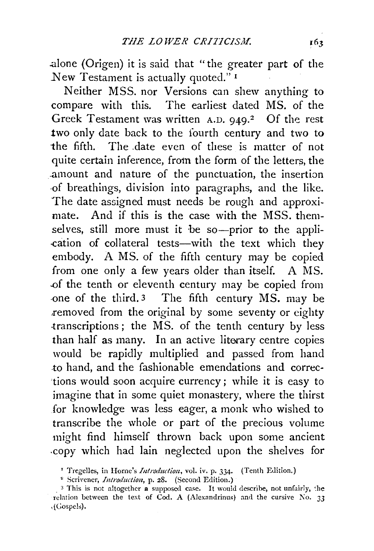.alone (Origen) it is said that "the greater part of the New Testament is actually quoted." 1

Neither MSS. nor Versions can shew anything to compare with this. The earliest dated MS. of the Greek Testament was written  $A.D. Q4Q.<sup>2</sup>$  Of the rest two only date back to the fourth century and two to the fifth. The .date even of these is matter of not quite certain inference, from the form of the letters, the .amount and nature of the punctuation, the insertion -of breathings, division into paragraphs, and the like. The date assigned must needs be rough and approximate. And if this is the case with the MSS. themselves, still more must it be so-prior to the appli-.cation of collateral tests-with the text which they embody. A MS. of the fifth century may be copied from one only a few years older than itself. A MS. .of the tenth or eleventh century may be copied from -one of the third. 3 The fifth century MS. may be removed from the original by some seventy or eighty -transcriptions; the MS. of the tenth century by less than half as many. In an active literary centre copies would be rapidly multiplied and passed from hand to hand, and the fashionable emendations and corrections would soon acquire currency; while it is easy to imagine that in some quiet monastery, where the thirst for knowledge was less eager, a monk who wished to transcribe the whole or part of the precious volume might find himself thrown back upon some ancient -copy which had lain neglected upon the shelves for

<sup>&</sup>lt;sup>1</sup> Tregelles, in Horne's *Introduction*, vol. iv. p. 334. (Tenth Edition.)

<sup>&</sup>quot; Scrivener, *Introduction,* p. 28. (Second Edition.)

<sup>&</sup>lt;sup>3</sup> This is not altogether a supposed case. It would describe, not unfairly, the relation between the text of Cod. A (Alexandrinus) and the cursive  $\overline{N}$ o. 33 ,(Gospels).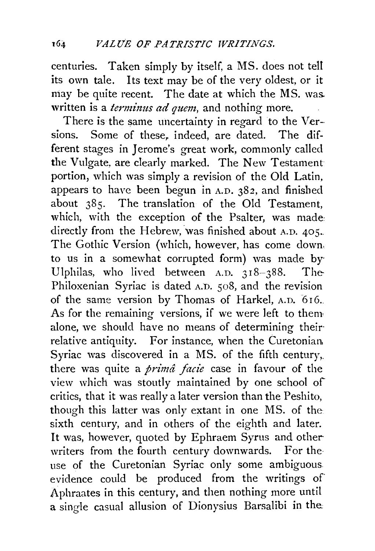centuries. Taken simply by itself, a MS. does not tell its own tale. Its text may be of the very oldest, or it may be quite recent. The date at which the MS. was. written is a *terminus ad quem,* and nothing more.

There is the same uncertainty in regard to the Versions. Some of these, indeed, are dated. The different stages in Jerome's great work, commonly called the Vulgate, are clearly marked. The New Testament portion, which was simply a revision of the Old Latin, appears to have been begun in A.D. 382, and finished about 385. The translation of the Old Testament, which, with the exception of the Psalter, was made: directly from the Hebrew, was finished about A.D. 405. The Gothic Version (which, however, has come down, to us in a somewhat corrupted form) was made by· Ulphilas, who lived between  $A.D. 318-388$ . The-Philoxenian Syriac is dated A.D. 508, and the revision of the same version by Thomas of Harkel, A.D. 616. As for the remaining versions, if we were left to them alone, we should have no means of determining their· relative antiquity. For instance, when the Curetonian. Syriac was discovered in a MS. of the fifth century,. there was quite a *primâ facie* case in favour of the view which was stoutly maintained by one school of critics, that it was really a later version than the Peshito, though this latter was only extant in one MS. of the sixth century, and in others of the eighth and later. It was, however, quoted by Ephraem Syrus and otherwriters from the fourth century downwards. For the use of the Curetonian Syriac only some ambiguous. evidence could be produced from the writings of Aphraates in this century, and then nothing more until a single casual allusion of Dionysius Barsalibi in the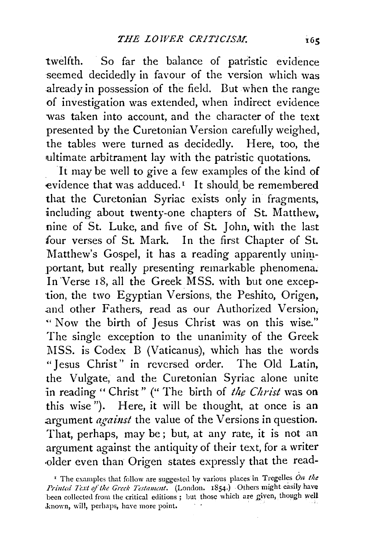twelfth. So far the balance of patristic evidence seemed decidedly in favour of the version which was already in possession of the field. But when the range of investigation was extended, when indirect evidence was taken into account, and the character of the text presented by the Curetonian Version carefully weighed, the tables were turned as decidedly. Here, too, the ultimate arbitrament lay with the patristic quotations.

It may be well to give a few examples of the kind of evidence that was adduced.<sup> $I$ </sup> It should be remembered that the Curetonian Syriac exists only in fragments, including about twenty-one chapters of St. Matthew, nine of St. Luke, and five of St. John, with the last four verses of St. Mark. In the first Chapter of St. Matthew's Gospel, it has a reading apparently unimportant, but really presenting remarkable phenomena. In Verse 18, all the Greek MSS. with but one exception, the two Egyptian Versions, the Peshito, Origen, .and other Fathers, read as our Authorized Version, "' Now the birth of Jesus Christ was on this wise." The single exception to the unanimity of the Greek MSS. is Codex B (Vaticanus), which has the words "Jesus Christ" in reversed order. The Old Latin, the Vulgate, and the Curetonian Syriac alone unite in reading " Christ" (" The birth of *the Christ* was on this wise"). Here, it will be thought, at once is an argument *against* the value of the Versions in question. That, perhaps, may be ; but, at any rate, it is not an argument against the antiquity of their text, for a writer .older even than Origen states expressly that the read-

<sup>&</sup>lt;sup>1</sup> The examples that follow are suggested by various places in Tregelles  $\hat{O}n$  the Printed Text of the Greek Testament. (London. 1854.) Others might easily have been collected from the critical editions ; but those which are given, though well known, will, perhaps, have more point.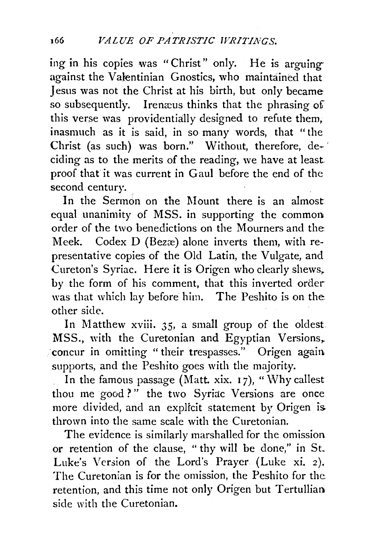ing in his copies was "Christ" only. He is arguing against the Valentinian Gnostics, who maintained that Jesus was not the Christ at his birth, but only became so subsequently. lremeus thinks that the phrasing of this verse was providentially designed to refute them, inasmuch as it is said, in so many words, that "the Christ (as such) was born." Without, therefore, deciding as to the merits of the reading, we have at least. proof that it was current in Gaul before the end of the second century.

In the Sermon on the Mount there is an almost equal unanimity of MSS. in supporting the common order of the two benedictions on the Mourners and the Meek. Codex D (Bezæ) alone inverts them, with representative copies of the Old Latin, the Vulgate, and Cureton's Syriac. Here it is Origen who clearly shews. by the form of his comment, that this inverted order was that which lay before him. The Peshito is on the. other side.

In Matthew xviii. 35, a small group of the oldest. MSS., with the Curetonian and Egyptian Versions,. concur in omitting " their trespasses." Origen again. supports, and the Peshito goes with the majority.

In the famous passage (Matt. xix.  $17$ ), "Why callest" thou me good?" the two Syriac Versions are once more divided, and an explicit statement by Origen is. thrown into the same scale with the Curetonian.

The evidence is similarly marshalled for the omission or retention of the clause, "thy will be done," in St. Luke's Version of the Lord's Prayer (Luke xi. 2). The Curetonian is for the omission, the Peshito for the retention, and this time not only Origen but Tertullian side with the Curetonian.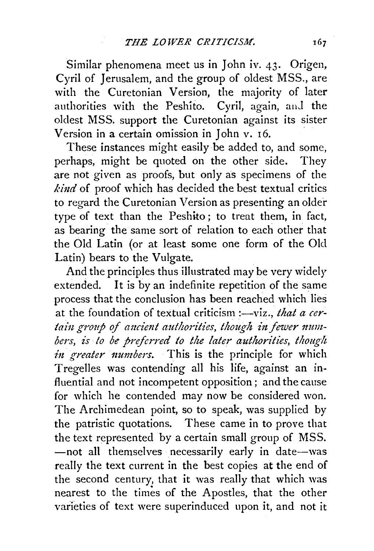Similar phenomena meet us in John iv. 43. Origen, Cyril of Jerusalem, and the group of oldest MSS., are with the Curetonian Version, the majority of later authorities with the Peshito. Cyril, again, and the oldest MSS. support the Curetonian against its sister Version in a certain omission in John v. 16.

These instances might easily be added to, and some, perhaps, might be quoted on the other side. They are not given as proofs, but only as specimens of the *kind* of proof which has decided the best textual critics to regard the Curetonian Version as presenting an older type of text than the Peshito ; to treat them, in fact, as bearing the same sort of relation to each other that the Old Latin (or at least some one form of the Old Latin) bears to the Vulgate.

And the principles thus illustrated may be very widely extended. It is by an indefinite repetition of the same process that the conclusion has been reached which lies at the foundation of textual criticism :—viz., *that a cer*tain group of ancient authorities, though in fewer numbers, is to be preferred to the later authorities, though *in greater numbers.* This is the principle for which Tregelles was contending all his life, against an in· fluential and not incompetent opposition; and the cause for which he contended may now be considered won. The Archimedean point, so to speak, was supplied by the patristic quotations. These came in to prove that the text represented by a certain small group of MSS. -not all themselves necessarily early in date-was really the text current in the best copies at the end of the second century, that it was really that which was nearest to the times of the Apostles, that the other varieties of text were superinduced upon it, and not it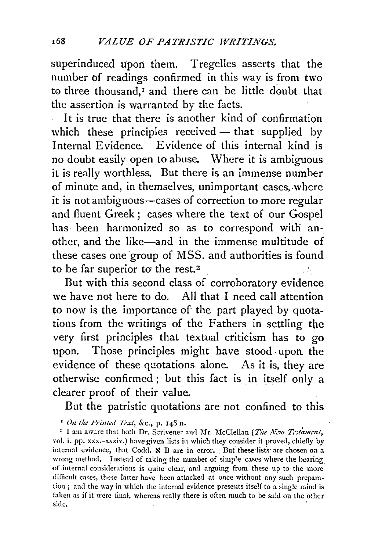superinduced upon them. Tregelles asserts that the number of readings confirmed in this way is from two to three thousand,<sup>I</sup> and there can be little doubt that the assertion is warranted by the facts.

It is true that there is another kind of confirmation which these principles received  $-$  that supplied by Internal Evidence. Evidence of this internal kind is no doubt easily open to abuse. \Vhere it is ambiguous it is really worthless. But there is an immense number of minute and, in themselves, unimportant cases, where it is not ambiguous—cases of correction to more regular and fluent Greek; cases where the text of our Gospel has been harmonized so as to correspond with another, and the like-and in the immense multitude of these cases one group of MSS. and authorities is found to be far superior to the rest.<sup>2</sup> 主教

But with this second class of corroboratory evidence we have not here to do. All that I need call attention to now is the importance of the part played by quotations from the writings of the Fathers in settling the very first principles that textual criticism has to go upon. Those principles might have stood upon the evidence of these quotations alone. As it is, they are otherwise confirmed; but this fact is in itself only a clearer proof of their value.

But the patristic quotations are not confined to this

<sup>1</sup> On the Printed Text, &c., p. 148 n.

<sup>2</sup> I am aware that both Dr. Scrivener and Mr. McClellan (The New Testament, vol. i. pp. xxx.-xxxiv.) have given lists in which they consider it proved, chiefly by internal evidence, that Codd.  $\aleph$  B are in error. But these lists are chosen on a wrong method. Instead of taking the number of simple cases where the bearing of internal considerations is quite clear, and arguing from these up to the more difficult cases, these latter have been attacked at once without any such preparation ; and the way in which the internal evidence presents itself to a single mind is faken as if it were final, whereas really there is often much to be said on the other side.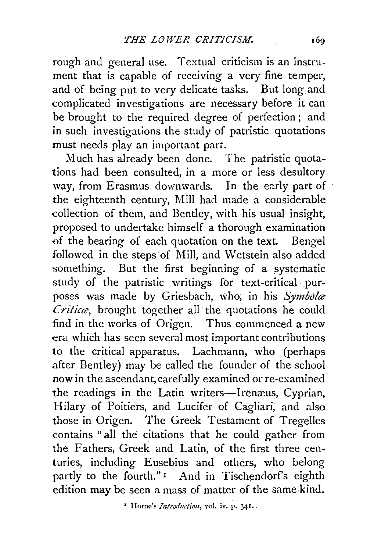rough and general use. Textual criticism is an instrument that is capable of receiving a very fine temper, and of being put to very delicate tasks. But long and complicated investigations are necessary before it can be brought to the required degree of perfection; and in such investigations the study of patristic quotations must needs play an important part.

Much has already been done. The patristic quotations had been consulted, in a more or less desultory way, from Erasmus downwards. In the early part of the eighteenth century, Mill had made a considerable collection of them, and Bentley, with his usual insight, proposed to undertake himself a thorough examination of the bearing of each quotation on the text. Bengel followed in the steps of Mill, and Wetstein also added something. But the first beginning of a systematic study of the patristic writings for text-critical purposes was made by Griesbach, who, in his *Symbolce Criticce,* brought together all the quotations he could find in the works of Origen. Thus commenced a new era which has seen several most important contributions to the critical apparatus. Lachmann, who (perhaps .after Bentley) may be called the founder of the school now in the ascendant, carefully examined or re-examined the readings in the Latin writers-Irenæus, Cyprian, Hilary of Poitiers, and Lucifer of Cagliari, and also those in Origen. The Greek Testament of Tregelles contains "all the citations that he could gather from the Fathers, Greek and Latin, of the first three centuries, including Eusebius and others, who belong partly to the fourth."<sup>1</sup> And in Tischendorf's eighth edition may be seen a mass of matter of the same kind.

• Home's *Introduction,* vol. iv. p. 341 ..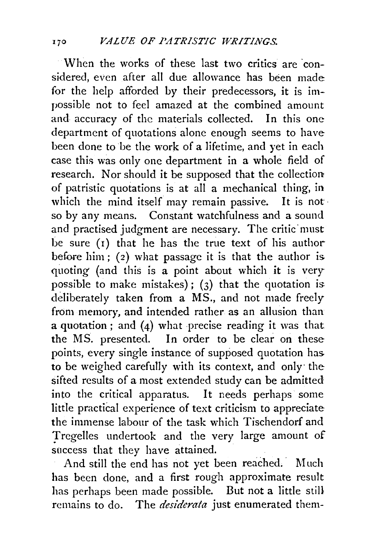When the works of these last two critics are considered, even after all due allowance has been made for the help afforded by their predecessors, it is impossible not to feel amazed at the combined amount and accuracy of the materials collected. In this one department of quotations alone enough seems to have been done to be the work of a lifetime, and yet in each case this was only one department in a whole field of research. Nor should it be supposed that the collection of patristic quotations is at all a mechanical thing, in which the mind itself may remain passive. It is not so by any means. Constant watchfulness and a sound and practised judgment are necessary. The critic must be sure (I) that he has the true text of his author before him; (2) what passage it is that the author is. quoting (and this is a point about which it is very possible to make mistakes); ( $3$ ) that the quotation is. deliberately taken from a MS., and not made freely from memory, and intended rather as an allusion than a quotation ; and (4) what precise reading it was that the MS. presented. In order to be clear on these points, every single instance of supposed quotation has. to be weighed carefully with its context, and only· the sifted results of a most extended study can be admitted into the critical apparatus. It needs perhaps some little practical experience of text criticism to appreciate the immense labour of the task which Tischendorf and Tregelles undertook and the very large amount of success that they have attained.

And still the end has not yet been reached. Much has been done, and a first rough approximate result has perhaps been made possible. But not a little still remains to do. The *desiderata* just enumerated them-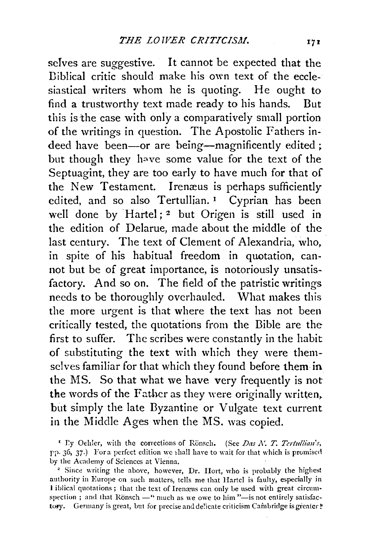selves are suggestive. It cannot be expected that the Diblical critic should make his own text of the ecclesiastical writers whom he is quoting. He ought to find a trustworthy text made ready to his hands. But this is the case with only a comparatively small portion of the writings in question. The Apostolic Fathers indeed have been-or are being-magnificently edited; but though they have some value for the text of the Septuagint, they are too early to have much for that of the New Testament. Irenæus is perhaps sufficiently edited, and so also Tertullian.<sup>1</sup> Cyprian has been well done by Hartel;<sup>2</sup> but Origen is still used in the edition of Delarue, made about the middle of the last century. The text of Clement of Alexandria, who, in spite of his habitual freedom in quotation, cannot but be of great importance, is notoriously unsatisfactory. And so on. The field of the patristic writings needs to be thoroughly overhauled. What makes this the more urgent is that where the text has not been critically tested, the quotations from the Bible are the first to suffer. The scribes were constantly in the habit of substituting the text with which they were themselves familiar for that which they found before them in the MS. So that what we have very frequently is not the words of the Father as they were originally written, but simply the late Byzantine or Vulgate text current in the Middle Ages when the MS. was copied.

<sup>&</sup>lt;sup>1</sup> Ly Oehler, with the corrections of Rönsch. (See *Das N. T. Tertullian's,* pp. 36, 37.) For a perfect edition we shall have to wait for that which is promised

by the Academy of Sciences at Vienna.<br><sup>2</sup> Since writing the above, however, Dr. Hort, who is probably the highest nuthority in Europe on such matters, tells me that Hartel is faulty, especially in 1 iblical quotations; that the text of Irenæus can only be used with great circumspection ; and that Rönsch -"much as we owe to him "-is not entirely satisfactory. Germany is great, but for precise and delicate criticism Cambridge is greater  $\rlap{!}{}^*$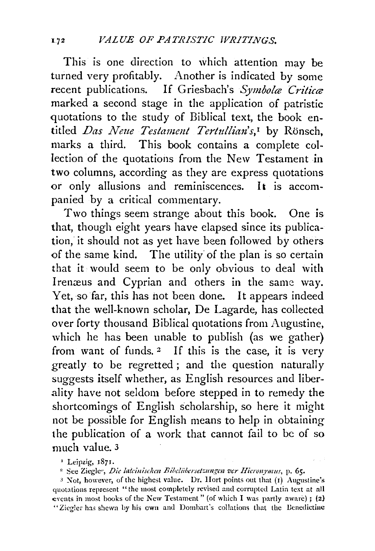This is one direction to which attention may be turned very profitably. Another is indicated by some recent publications. If Griesbach's *Symbola Critica* marked a second stage in the application of patristic quotations to the study of Biblical text, the book entitled *Das Neue Testament Tertullian's*,<sup>1</sup> by Rönsch, marks a third. This book contains a complete collection of the quotations from the New Testament in two columns, according as they are express quotations or only allusions and reminiscences. It is accompanied by a critical commentary.

Two things seem strange about this book. One is that, though eight years have elapsed since its publication, it should not as yet have been followed by others of the same kind. The utility of the plan is so certain that it would seem to be only obvious to deal with Irenæus and Cyprian and others in the same way. Yet, so far, this has hot been done. It appears indeed that the well-known scholar, De Lagarde, has collected over forty thousand Biblical quotations from Augustine, which he has been unable to publish (as we gather) from want of funds. 2 If this is the case, it is very greatly to be regretted; and the question naturally suggests itself whether, as English resources and liberality have not seldom before stepped in to remedy the shortcomings of English scholarship, so here it might not be possible for English means to help in obtaining the publication of a work that cannot fail to be of so much value. 3

' Leipzig, r87r.

" See Ziegle•·, *Die lateiuischen Bibdiibcrset:::ungen vcr Hicronymus,* p. 65.

3 Xot, however, of the highest value. Dr. Hort points out that (r) Augustine's quotations represent "the most completely revised and corrupted Latin text at all events in most books of the New Testament" (of which I was partly aware); (2) "Ziegler has shewn by his own and Dombart's collations that the Benedictine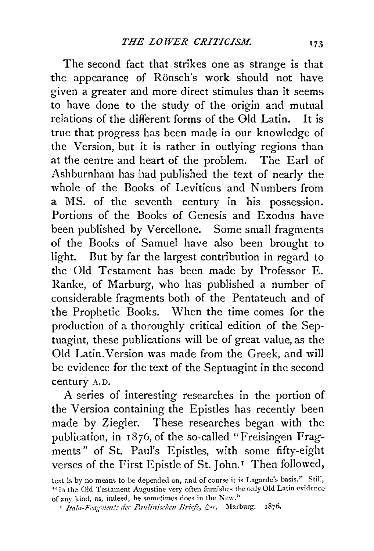The second fact that strikes one as strange is that the appearance of Rönsch's work should not have given a greater and more direct stimulus than it seems to have done to the study of the origin and mutual relations of the different forms of the Old Latin. It is true that progress has been made in our knowledge of the Version, but it is rather in outlying regions than at the centre and heart of the problem. The Earl of Ashburnham has had published the text of nearly the whole of the Books of Leviticus and Numbers from a MS. of the seventh century in his possession. Portions of the Books of Genesis and Exodus have been published by Vercellone. Some small fragments of the Books of Samuel have also been brought to light. But by far the largest contribution in regard to the Old Testament has been made by Professor E. Ranke, of Marburg, who has published a number of considerable fragments both of the Pentateuch and of the Prophetic Books. When the time comes for the production of a thoroughly critical edition of the Septuagint, these publications will be of great value, as the Old Latin.Version was made from the Greek, and will be evidence for the text of the Septuagint in the second century A.D.

A series of interesting researches in the portion of the Version containing the Epistles has recently been made by Ziegler. These researches began with the publication, in 1876, of the so-called "Freisingen Fragments" of St. Paul's Epistles, with some fifty-eight verses of the First Epistle of St. John.<sup>1</sup> Then followed,

text is by no means to be depended on, ami of course it is Lagarde's basis." Still, " in the Old Testament Augustine very often furnishes the only Old Latin evidence: of any kind, as, indeed, he sometimes does in the New."

<sup>&</sup>lt;sup>1</sup> Itala-Fragmente der Paulinischen Briefe, &c. Marburg. 1876.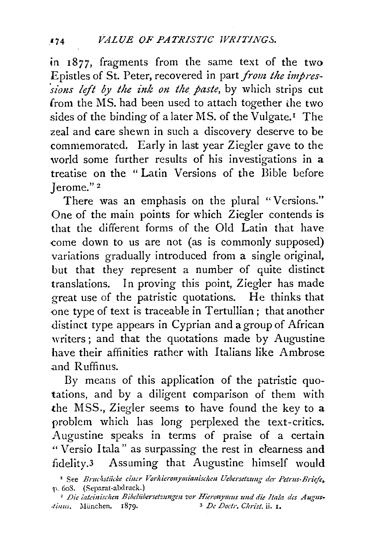in 1877, fragments from the same text of the two Epistles of St. Peter, recovered in part *from the impressions left by the ink on the paste*, by which strips cut from the MS. had been used to attach together the two sides of the binding of a later MS. of the Vulgate.<sup>1</sup> The zeal and care shewn in such a discovery deserve to be commemorated. Early in last year Ziegler gave to the world some further results of his investigations in a treatise on the " Latin Versions of the Bible before Jerome." 2

There was an emphasis on the plural "Versions." One of the main points for which Ziegler contends is that the different forms of the Old Latin that have come down to us are not (as is commonly supposed) variations gradually introduced from a single original, but that they represent a number of quite distinct translations. In proving this point, Ziegler has made great use of the patristic quotations. He thinks that one type of text is traceable in Tertullian; that another distinct type appears in Cyprian and a group of African writers; and that the quotations made by Augustine have their affinities rather with Italians like Ambrose .and Ruffinus.

By means of this application of the patristic quotations, and by a diligent comparison of them with the MSS., Ziegler seems to have found the key to a problem which has long perplexed the text-critics. Augustine speaks in terms of praise of a certain " Versio I tala" as surpassing the rest in clearness and fidelity.3 Assuming that Augustine himself would

<sup>&</sup>lt;sup>1</sup> See *Bruchstiicke ciner Vorhieronymianischen Uebersetzung der Petrus-Briefe*,  $p. 608.$  (Separat-abdruck.)

<sup>&</sup>lt;sup>2</sup> Die lateinischen Bibelübersetzungen vor Hieronymus und die Itala des Augus-*Jiuus.* i\Iiinchen. 1879· 3 *De Doctr, Chn'st.* ii. 1.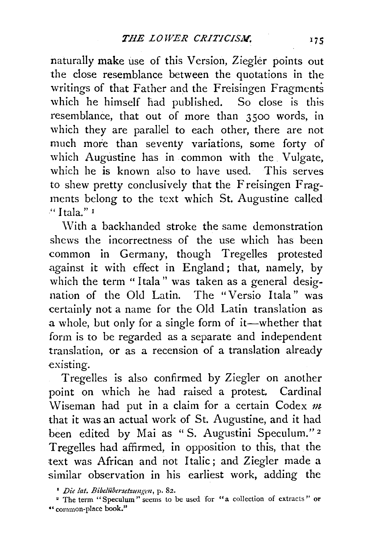naturally make use of this Version, Ziegler points out the close resemblance between the quotations in the writings of that Father and the Freisingen Fragments which he himself had published. So close is this resemblance, that out of more than 3500 words, in which they are parallel to each other, there are not much more than seventy variations, some forty of which Augustine has in common with the. Vulgate, which he is known also to have used. This serves to shew pretty conclusively that the Freisingen Fragments belong to the text which St. Augustine called " I tala." 1

With a backhanded stroke the same demonstration shews the incorrectness of the use which has been common in Germany, though Tregelles protested against it with effect in England; that, namely, by which the term "Itala" was taken as a general designation of the Old Latin. The "Versio Itala" was certainly not a name for the Old Latin translation as a whole, but only for a single form of it—whether that form is to be regarded as a separate and independent translation, or as a recension of a translation already existing.

Tregelles is also confirmed by Ziegler on another point on which he had raised a protest. Cardinal \Viseman had put in a claim for a certain Codex *m*  that it was an actual work of St. Augustine, and it had been edited by Mai as "S. Augustini Speculum."<sup>2</sup> Tregelles had affirmed, in opposition to this, that the text was African and not Italic; and Ziegler made a similar observation in his earliest work, adding the

<sup>•</sup> *Die !at. Bibeliibersetzungen,* p. 82. 2 The term "Speculum" seems to be used for "a collection of extracts " or "common·place book!'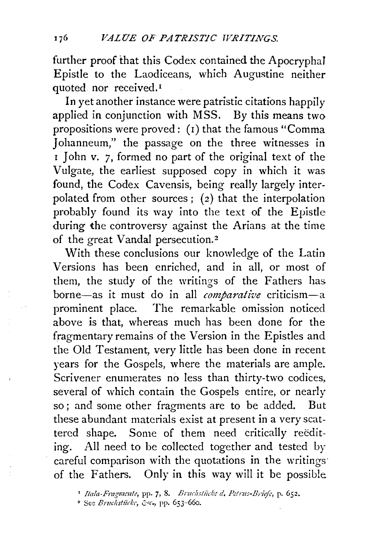further proof that this Codex contained the Apocryphal Epistle to the Laodiceans, which Augustine neither quoted nor received.<sup>1</sup>

In yet another instance were patristic citations happily applied in conjunction with MSS. By this means two propositions were proved: (r) that the famous "Comma Johanneum," the passage on the three witnesses in r John v. *7,* formed no part of the original text of the Vulgate, the earliest supposed copy in which it was found, the Codex Cavensis, being really largely interpolated from other sources; (2) that the interpolation probably found its way into the text of the Epistle during the controversy against the Arians at the time of the great Vandal persecution.<sup>2</sup>

With these conclusions our knowledge of the Latin Versions has been enriched, and in all, or most of them, the study of the writings of the Fathers has borne-as it must do in all *comparative* criticism-a prominent place. The remarkable omission noticed above is that, whereas much has been done for the fragmentary remains of the Version in the Epistles and the Old Testament, very little has been done in recent years for the Gospels, where the materials are ample. Scrivener enumerates no less than thirty-two codices, several of which contain the Gospels entire, or nearly so; and some other fragments are to be added. But these abundant materials exist at present in a very scattered shape. Some of them need critically reediting. All need to be collected together and tested by careful comparison with the quotations in the writings· of the Fathers. Only in this way will it be possible

<sup>&</sup>lt;sup>1</sup> Itala-Fragmente, pp. 7, 8. *Bruchstücke d. Petrus-Briefe*, p. 652.

<sup>&</sup>lt;sup>2</sup> See *Bruchstücke*, &c., pp. 653-660.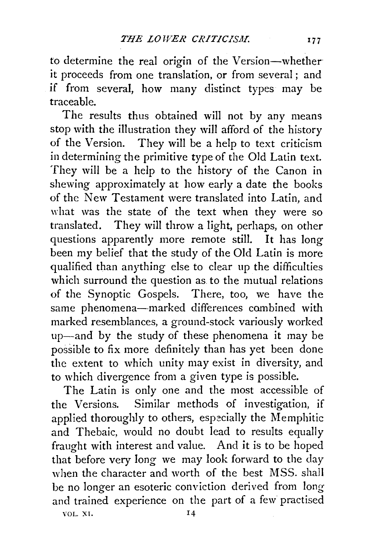to determine the real origin of the Version-whether it proceeds from one translation, or from several ; and if from several, how many distinct types may be traceable.

The results thus obtained will not by any means stop with the illustration they will afford of the history of the Version. They will be a help to text criticism in determining the primitive type of the Old Latin text. They will be a help to the history of the Canon in shewing approximately at how early a date the books of the New Testament were translated into Latin, and what was the state of the text when they were so translated. They will throw a light, perhaps, on other questions apparently more remote still. It has long been my belief that the study of the Old Latin is more qualified than anything else to clear up the difficulties which surround the question as to the mutual relations of the Synoptic Gospels. There, too, we have the same phenomena-marked differences combined with marked resemblances, a ground-stock variously worked up-and by the study of these phenomena it may be possible to fix more definitely than has yet been done the extent to which unity may exist in diversity, and to which divergence from a given type is possible.

The Latin is only one and the most accessible of the Versions. Similar methods of investigation, if applied thoroughly to others, especially the Memphitic and Thebaic, would no doubt lead to results equally fraught with interest and value. And it is to be hoped that before very long we may look forward to the day when the character and worth of the best MSS. shall be no longer an esoteric conviction derived from long and trained experience on the part of a few practised VOL. XI. 14